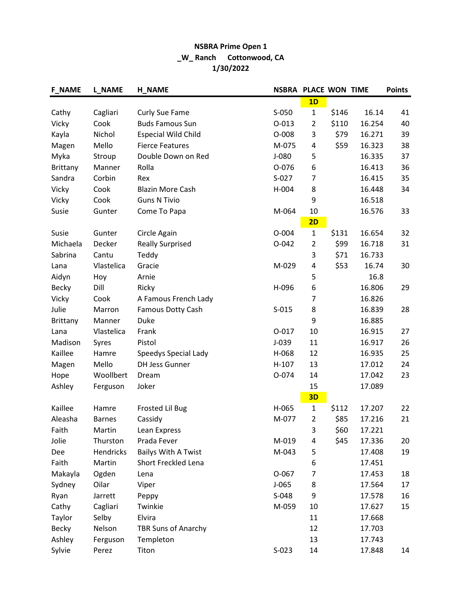## NSBRA Prime Open 1 \_W\_ Ranch Cottonwood, CA 1/30/2022

| <b>F_NAME</b>   | <b>L_NAME</b> | <b>H_NAME</b>              | <b>NSBRA PLACE WON TIME</b> |                |       |        | <b>Points</b> |
|-----------------|---------------|----------------------------|-----------------------------|----------------|-------|--------|---------------|
|                 |               |                            |                             | 1D             |       |        |               |
| Cathy           | Cagliari      | Curly Sue Fame             | S-050                       | $\mathbf{1}$   | \$146 | 16.14  | 41            |
| Vicky           | Cook          | <b>Buds Famous Sun</b>     | $O-013$                     | $\overline{2}$ | \$110 | 16.254 | 40            |
| Kayla           | Nichol        | <b>Especial Wild Child</b> | $O-008$                     | 3              | \$79  | 16.271 | 39            |
| Magen           | Mello         | <b>Fierce Features</b>     | M-075                       | 4              | \$59  | 16.323 | 38            |
| Myka            | Stroup        | Double Down on Red         | $J-080$                     | 5              |       | 16.335 | 37            |
| <b>Brittany</b> | Manner        | Rolla                      | O-076                       | 6              |       | 16.413 | 36            |
| Sandra          | Corbin        | Rex                        | $S-027$                     | 7              |       | 16.415 | 35            |
| Vicky           | Cook          | <b>Blazin More Cash</b>    | H-004                       | 8              |       | 16.448 | 34            |
| Vicky           | Cook          | <b>Guns N Tivio</b>        |                             | 9              |       | 16.518 |               |
| Susie           | Gunter        | Come To Papa               | M-064                       | 10             |       | 16.576 | 33            |
|                 |               |                            |                             | 2D             |       |        |               |
| Susie           | Gunter        | Circle Again               | $O - 004$                   | $\mathbf{1}$   | \$131 | 16.654 | 32            |
| Michaela        | Decker        | <b>Really Surprised</b>    | $O - 042$                   | $\overline{2}$ | \$99  | 16.718 | 31            |
| Sabrina         | Cantu         | Teddy                      |                             | 3              | \$71  | 16.733 |               |
| Lana            | Vlastelica    | Gracie                     | M-029                       | 4              | \$53  | 16.74  | 30            |
| Aidyn           | Hoy           | Arnie                      |                             | 5              |       | 16.8   |               |
| Becky           | Dill          | Ricky                      | H-096                       | 6              |       | 16.806 | 29            |
| Vicky           | Cook          | A Famous French Lady       |                             | $\overline{7}$ |       | 16.826 |               |
| Julie           | Marron        | Famous Dotty Cash          | $S-015$                     | 8              |       | 16.839 | 28            |
| Brittany        | Manner        | Duke                       |                             | 9              |       | 16.885 |               |
| Lana            | Vlastelica    | Frank                      | $O-017$                     | 10             |       | 16.915 | 27            |
| Madison         | Syres         | Pistol                     | $J-039$                     | 11             |       | 16.917 | 26            |
| Kaillee         | Hamre         | Speedys Special Lady       | H-068                       | 12             |       | 16.935 | 25            |
| Magen           | Mello         | <b>DH Jess Gunner</b>      | $H-107$                     | 13             |       | 17.012 | 24            |
| Hope            | Woollbert     | Dream                      | O-074                       | 14             |       | 17.042 | 23            |
| Ashley          | Ferguson      | Joker                      |                             | 15             |       | 17.089 |               |
|                 |               |                            |                             | 3D             |       |        |               |
| Kaillee         | Hamre         | <b>Frosted Lil Bug</b>     | H-065                       | $\mathbf{1}$   | \$112 | 17.207 | 22            |
| Aleasha         | <b>Barnes</b> | Cassidy                    | M-077                       | $\overline{2}$ | \$85  | 17.216 | 21            |
| Faith           | Martin        | Lean Express               |                             | 3              | \$60  | 17.221 |               |
| Jolie           | Thurston      | Prada Fever                | M-019                       | 4              | \$45  | 17.336 | 20            |
| Dee             | Hendricks     | <b>Bailys With A Twist</b> | M-043                       | 5              |       | 17.408 | 19            |
| Faith           | Martin        | Short Freckled Lena        |                             | 6              |       | 17.451 |               |
| Makayla         | Ogden         | Lena                       | $O-067$                     | 7              |       | 17.453 | 18            |
| Sydney          | Oilar         | Viper                      | $J-065$                     | 8              |       | 17.564 | 17            |
| Ryan            | Jarrett       | Peppy                      | S-048                       | 9              |       | 17.578 | 16            |
| Cathy           | Cagliari      | Twinkie                    | M-059                       | 10             |       | 17.627 | 15            |
| Taylor          | Selby         | Elvira                     |                             | 11             |       | 17.668 |               |
| <b>Becky</b>    | Nelson        | <b>TBR Suns of Anarchy</b> |                             | 12             |       | 17.703 |               |
| Ashley          | Ferguson      | Templeton                  |                             | 13             |       | 17.743 |               |
| Sylvie          | Perez         | Titon                      | $S-023$                     | 14             |       | 17.848 | 14            |